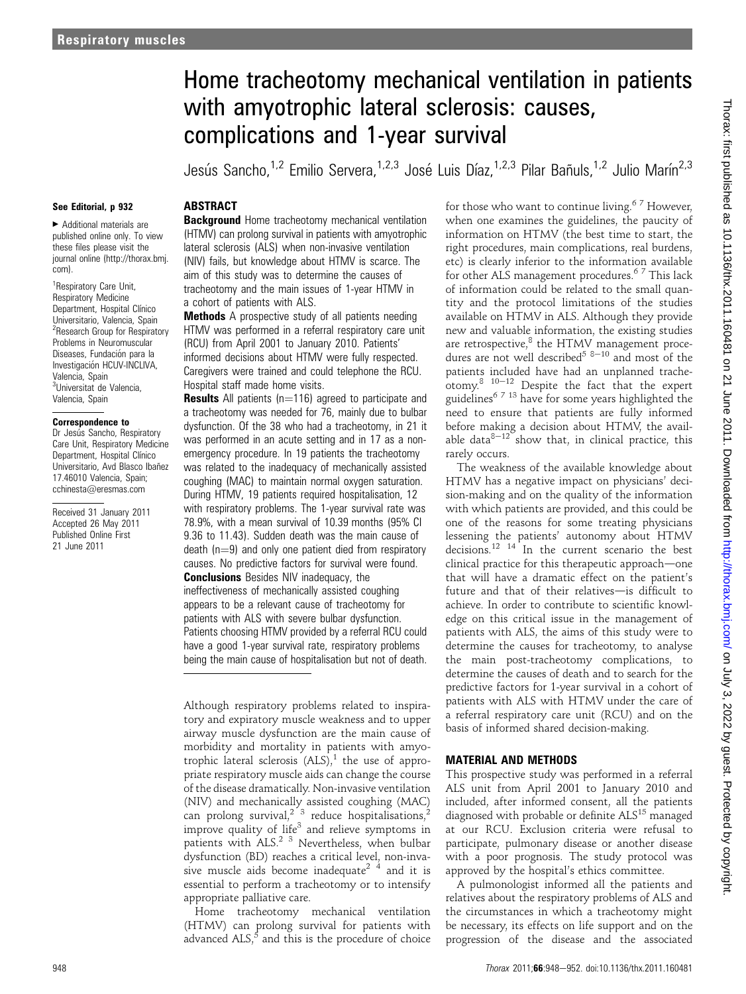# Home tracheotomy mechanical ventilation in patients with amyotrophic lateral sclerosis: causes, complications and 1-year survival

Jesús Sancho,<sup>1,2</sup> Emilio Servera,<sup>1,2,3</sup> José Luis Díaz,<sup>1,2,3</sup> Pilar Bañuls,<sup>1,2</sup> Julio Marín<sup>2,3</sup>

### See Editorial, p 932

< Additional materials are published online only. To view these files please visit the journal online (http://thorax.bmj. com).

<sup>1</sup> Respiratory Care Unit, Respiratory Medicine Department, Hospital Clínico Universitario, Valencia, Spain <sup>2</sup> Research Group for Respiratory Problems in Neuromuscular Diseases, Fundación para la Investigación HCUV-INCLIVA, Valencia, Spain <sup>3</sup>Universitat de Valencia, Valencia, Spain

#### Correspondence to

Dr Jesús Sancho, Respiratory Care Unit, Respiratory Medicine Department, Hospital Clínico Universitario, Avd Blasco Ibañez 17.46010 Valencia, Spain; cchinesta@eresmas.com

Received 31 January 2011 Accepted 26 May 2011 Published Online First 21 June 2011

# **ABSTRACT**

**Background** Home tracheotomy mechanical ventilation (HTMV) can prolong survival in patients with amyotrophic lateral sclerosis (ALS) when non-invasive ventilation (NIV) fails, but knowledge about HTMV is scarce. The aim of this study was to determine the causes of tracheotomy and the main issues of 1-year HTMV in a cohort of patients with ALS.

Methods A prospective study of all patients needing HTMV was performed in a referral respiratory care unit (RCU) from April 2001 to January 2010. Patients' informed decisions about HTMV were fully respected. Caregivers were trained and could telephone the RCU. Hospital staff made home visits.

**Results** All patients ( $n=116$ ) agreed to participate and a tracheotomy was needed for 76, mainly due to bulbar dysfunction. Of the 38 who had a tracheotomy, in 21 it was performed in an acute setting and in 17 as a nonemergency procedure. In 19 patients the tracheotomy was related to the inadequacy of mechanically assisted coughing (MAC) to maintain normal oxygen saturation. During HTMV, 19 patients required hospitalisation, 12 with respiratory problems. The 1-year survival rate was 78.9%, with a mean survival of 10.39 months (95% CI 9.36 to 11.43). Sudden death was the main cause of death  $(n=9)$  and only one patient died from respiratory causes. No predictive factors for survival were found. Conclusions Besides NIV inadequacy, the ineffectiveness of mechanically assisted coughing appears to be a relevant cause of tracheotomy for patients with ALS with severe bulbar dysfunction. Patients choosing HTMV provided by a referral RCU could have a good 1-year survival rate, respiratory problems being the main cause of hospitalisation but not of death.

Although respiratory problems related to inspiratory and expiratory muscle weakness and to upper airway muscle dysfunction are the main cause of morbidity and mortality in patients with amyotrophic lateral sclerosis  $(ALS)<sup>1</sup>$ , the use of appropriate respiratory muscle aids can change the course of the disease dramatically. Non-invasive ventilation (NIV) and mechanically assisted coughing (MAC) can prolong survival,<sup>2 3</sup> reduce hospitalisations,<sup>2</sup> improve quality of life<sup>3</sup> and relieve symptoms in patients with ALS.<sup>2 3</sup> Nevertheless, when bulbar dysfunction (BD) reaches a critical level, non-invasive muscle aids become inadequate<sup>2</sup>  $\frac{4}{7}$  and it is essential to perform a tracheotomy or to intensify appropriate palliative care.

Home tracheotomy mechanical ventilation (HTMV) can prolong survival for patients with advanced  $ALS$ ,<sup>5</sup> and this is the procedure of choice

for those who want to continue living.<sup>67</sup> However, when one examines the guidelines, the paucity of information on HTMV (the best time to start, the right procedures, main complications, real burdens, etc) is clearly inferior to the information available for other ALS management procedures.<sup>67</sup> This lack of information could be related to the small quantity and the protocol limitations of the studies available on HTMV in ALS. Although they provide new and valuable information, the existing studies are retrospective, $8$  the HTMV management procedures are not well described<sup>5 8-10</sup> and most of the patients included have had an unplanned tracheotomy.<sup>8 10-12</sup> Despite the fact that the expert guidelines<sup>6 7 13</sup> have for some years highlighted the need to ensure that patients are fully informed before making a decision about HTMV, the available data $8-12$  show that, in clinical practice, this rarely occurs.

The weakness of the available knowledge about HTMV has a negative impact on physicians' decision-making and on the quality of the information with which patients are provided, and this could be one of the reasons for some treating physicians lessening the patients' autonomy about HTMV decisions.<sup>12</sup> <sup>14</sup> In the current scenario the best clinical practice for this therapeutic approach—one that will have a dramatic effect on the patient's future and that of their relatives-is difficult to achieve. In order to contribute to scientific knowledge on this critical issue in the management of patients with ALS, the aims of this study were to determine the causes for tracheotomy, to analyse the main post-tracheotomy complications, to determine the causes of death and to search for the predictive factors for 1-year survival in a cohort of patients with ALS with HTMV under the care of a referral respiratory care unit (RCU) and on the basis of informed shared decision-making.

# MATERIAL AND METHODS

This prospective study was performed in a referral ALS unit from April 2001 to January 2010 and included, after informed consent, all the patients diagnosed with probable or definite ALS<sup>15</sup> managed at our RCU. Exclusion criteria were refusal to participate, pulmonary disease or another disease with a poor prognosis. The study protocol was approved by the hospital's ethics committee.

A pulmonologist informed all the patients and relatives about the respiratory problems of ALS and the circumstances in which a tracheotomy might be necessary, its effects on life support and on the progression of the disease and the associated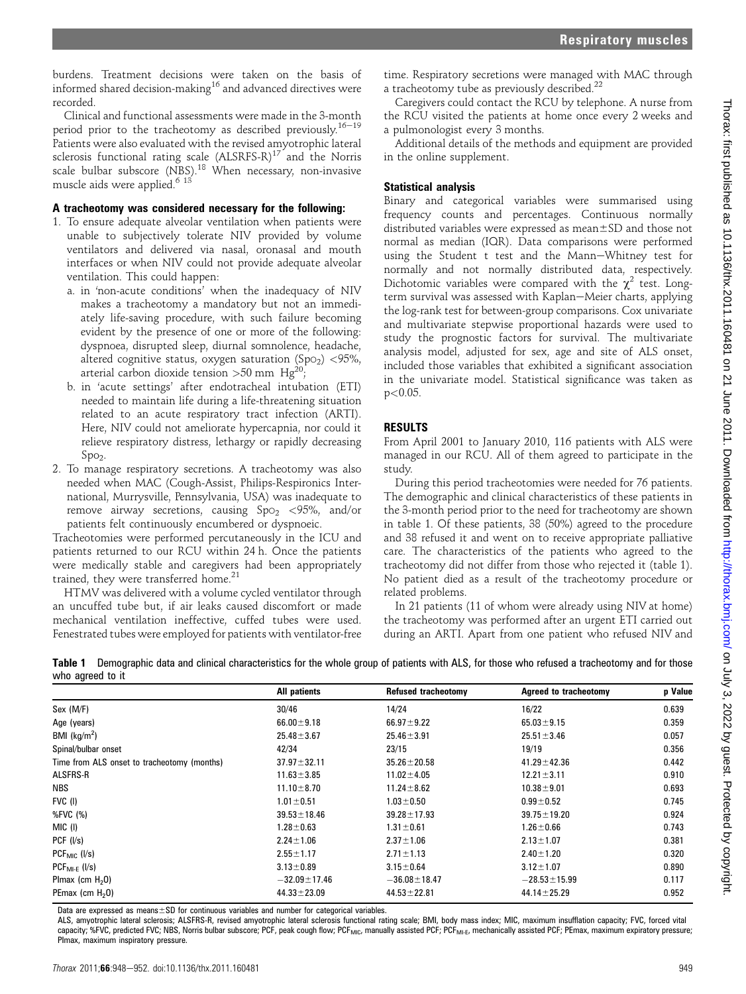burdens. Treatment decisions were taken on the basis of informed shared decision-making<sup>16</sup> and advanced directives were recorded.

Clinical and functional assessments were made in the 3-month period prior to the tracheotomy as described previously.<sup>16-19</sup> Patients were also evaluated with the revised amyotrophic lateral sclerosis functional rating scale  $(ALSRFS-R)^{17}$  and the Norris scale bulbar subscore (NBS).<sup>18</sup> When necessary, non-invasive muscle aids were applied.<sup>6 13</sup>

## A tracheotomy was considered necessary for the following:

- 1. To ensure adequate alveolar ventilation when patients were unable to subjectively tolerate NIV provided by volume ventilators and delivered via nasal, oronasal and mouth interfaces or when NIV could not provide adequate alveolar ventilation. This could happen:
	- a. in 'non-acute conditions' when the inadequacy of NIV makes a tracheotomy a mandatory but not an immediately life-saving procedure, with such failure becoming evident by the presence of one or more of the following: dyspnoea, disrupted sleep, diurnal somnolence, headache, altered cognitive status, oxygen saturation (SpO<sub>2</sub>) <95%, arterial carbon dioxide tension  $>50$  mm Hg<sup>20</sup>
	- b. in 'acute settings' after endotracheal intubation (ETI) needed to maintain life during a life-threatening situation related to an acute respiratory tract infection (ARTI). Here, NIV could not ameliorate hypercapnia, nor could it relieve respiratory distress, lethargy or rapidly decreasing  $Spo<sub>2</sub>$ .
- 2. To manage respiratory secretions. A tracheotomy was also needed when MAC (Cough-Assist, Philips-Respironics International, Murrysville, Pennsylvania, USA) was inadequate to remove airway secretions, causing  $Spo<sub>2</sub> < 95%$ , and/or patients felt continuously encumbered or dyspnoeic.

Tracheotomies were performed percutaneously in the ICU and patients returned to our RCU within 24 h. Once the patients were medically stable and caregivers had been appropriately trained, they were transferred home.<sup>21</sup>

HTMV was delivered with a volume cycled ventilator through an uncuffed tube but, if air leaks caused discomfort or made mechanical ventilation ineffective, cuffed tubes were used. Fenestrated tubes were employed for patients with ventilator-free

time. Respiratory secretions were managed with MAC through a tracheotomy tube as previously described.<sup>22</sup>

Caregivers could contact the RCU by telephone. A nurse from the RCU visited the patients at home once every 2 weeks and a pulmonologist every 3 months.

Additional details of the methods and equipment are provided in the online supplement.

# Statistical analysis

Binary and categorical variables were summarised using frequency counts and percentages. Continuous normally distributed variables were expressed as  $mean \pm SD$  and those not normal as median (IQR). Data comparisons were performed using the Student t test and the Mann-Whitney test for normally and not normally distributed data, respectively. Dichotomic variables were compared with the  $\chi^2$  test. Longterm survival was assessed with Kaplan-Meier charts, applying the log-rank test for between-group comparisons. Cox univariate and multivariate stepwise proportional hazards were used to study the prognostic factors for survival. The multivariate analysis model, adjusted for sex, age and site of ALS onset, included those variables that exhibited a significant association in the univariate model. Statistical significance was taken as  $p<0.05$ .

# RESULTS

From April 2001 to January 2010, 116 patients with ALS were managed in our RCU. All of them agreed to participate in the study.

During this period tracheotomies were needed for 76 patients. The demographic and clinical characteristics of these patients in the 3-month period prior to the need for tracheotomy are shown in table 1. Of these patients, 38 (50%) agreed to the procedure and 38 refused it and went on to receive appropriate palliative care. The characteristics of the patients who agreed to the tracheotomy did not differ from those who rejected it (table 1). No patient died as a result of the tracheotomy procedure or related problems.

In 21 patients (11 of whom were already using NIV at home) the tracheotomy was performed after an urgent ETI carried out during an ARTI. Apart from one patient who refused NIV and

|                  | Table 1 Demographic data and clinical characteristics for the whole group of patients with ALS, for those who refused a tracheotomy and for those |  |  |  |  |
|------------------|---------------------------------------------------------------------------------------------------------------------------------------------------|--|--|--|--|
| who agreed to it |                                                                                                                                                   |  |  |  |  |

|                                             | All patients       | Refused tracheotomy | <b>Agreed to tracheotomy</b> | p Value |
|---------------------------------------------|--------------------|---------------------|------------------------------|---------|
| Sex (M/F)                                   | 30/46              | 14/24               | 16/22                        | 0.639   |
| Age (years)                                 | $66.00 \pm 9.18$   | $66.97 \pm 9.22$    | $65.03 \pm 9.15$             | 0.359   |
| BMI $(kg/m2)$                               | $25.48 \pm 3.67$   | $25.46 \pm 3.91$    | $25.51 \pm 3.46$             | 0.057   |
| Spinal/bulbar onset                         | 42/34              | 23/15               | 19/19                        | 0.356   |
| Time from ALS onset to tracheotomy (months) | $37.97 \pm 32.11$  | $35.26 \pm 20.58$   | $41.29 \pm 42.36$            | 0.442   |
| <b>ALSFRS-R</b>                             | $11.63 \pm 3.85$   | $11.02 \pm 4.05$    | $12.21 \pm 3.11$             | 0.910   |
| <b>NBS</b>                                  | $11.10 \pm 8.70$   | $11.24 \pm 8.62$    | $10.38 \pm 9.01$             | 0.693   |
| FVC (I)                                     | $1.01 \pm 0.51$    | $1.03 \pm 0.50$     | $0.99 \pm 0.52$              | 0.745   |
| %FVC (%)                                    | $39.53 \pm 18.46$  | $39.28 \pm 17.93$   | $39.75 \pm 19.20$            | 0.924   |
| MIC (I)                                     | $1.28 \pm 0.63$    | $1.31 \pm 0.61$     | $1.26 \pm 0.66$              | 0.743   |
| PCF (I/s)                                   | $2.24 \pm 1.06$    | $2.37 \pm 1.06$     | $2.13 \pm 1.07$              | 0.381   |
| $PCFMIC$ (I/s)                              | $2.55 \pm 1.17$    | $2.71 \pm 1.13$     | $2.40 \pm 1.20$              | 0.320   |
| $PCF_{Ml-F}$ (I/s)                          | $3.13 \pm 0.89$    | $3.15 \pm 0.64$     | $3.12 \pm 1.07$              | 0.890   |
| Plmax (cm $H_2$ 0)                          | $-32.09 \pm 17.46$ | $-36.08 \pm 18.47$  | $-28.53 \pm 15.99$           | 0.117   |
| PEmax (cm $H20$ )                           | $44.33 \pm 23.09$  | $44.53 \pm 22.81$   | $44.14 \pm 25.29$            | 0.952   |

Data are expressed as means $\pm$ SD for continuous variables and number for categorical variables.

ALS, amyotrophic lateral sclerosis; ALSFRS-R, revised amyotrophic lateral sclerosis functional rating scale; BMI, body mass index; MIC, maximum insufflation capacity; FVC, forced vital capacity; %FVC, predicted FVC; NBS, Norris bulbar subscore; PCF, peak cough flow; PCF<sub>MIC</sub>, manually assisted PCF; PCF<sub>MI-E</sub>, mechanically assisted PCF; PEmax, maximum expiratory pressure; PImax, maximum inspiratory pressure.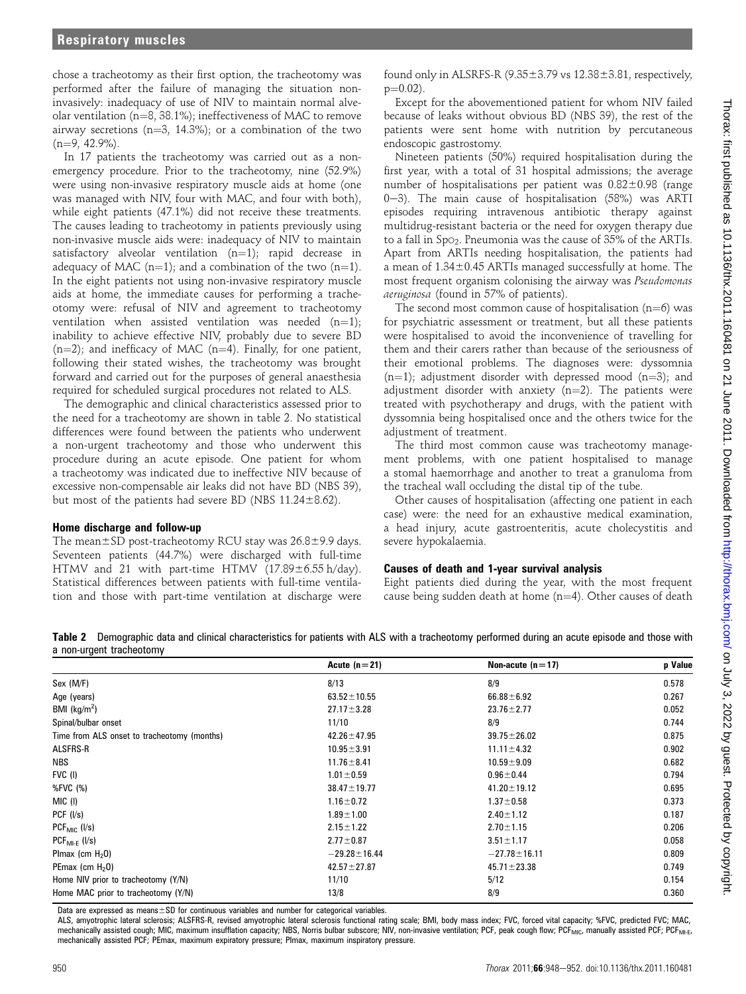chose a tracheotomy as their first option, the tracheotomy was performed after the failure of managing the situation noninvasively: inadequacy of use of NIV to maintain normal alveolar ventilation ( $n=8$ , 38.1%); ineffectiveness of MAC to remove airway secretions ( $n=3$ , 14.3%); or a combination of the two  $(n=9, 42.9\%)$ .

In 17 patients the tracheotomy was carried out as a nonemergency procedure. Prior to the tracheotomy, nine (52.9%) were using non-invasive respiratory muscle aids at home (one was managed with NIV, four with MAC, and four with both), while eight patients (47.1%) did not receive these treatments. The causes leading to tracheotomy in patients previously using non-invasive muscle aids were: inadequacy of NIV to maintain satisfactory alveolar ventilation  $(n=1)$ ; rapid decrease in adequacy of MAC (n=1); and a combination of the two (n=1). In the eight patients not using non-invasive respiratory muscle aids at home, the immediate causes for performing a tracheotomy were: refusal of NIV and agreement to tracheotomy ventilation when assisted ventilation was needed  $(n=1)$ ; inability to achieve effective NIV, probably due to severe BD  $(n=2)$ ; and inefficacy of MAC (n=4). Finally, for one patient, following their stated wishes, the tracheotomy was brought forward and carried out for the purposes of general anaesthesia required for scheduled surgical procedures not related to ALS.

The demographic and clinical characteristics assessed prior to the need for a tracheotomy are shown in table 2. No statistical differences were found between the patients who underwent a non-urgent tracheotomy and those who underwent this procedure during an acute episode. One patient for whom a tracheotomy was indicated due to ineffective NIV because of excessive non-compensable air leaks did not have BD (NBS 39), but most of the patients had severe BD (NBS  $11.24 \pm 8.62$ ).

#### Home discharge and follow-up

The mean $\pm$ SD post-tracheotomy RCU stay was 26.8 $\pm$ 9.9 days. Seventeen patients (44.7%) were discharged with full-time HTMV and 21 with part-time HTMV  $(17.89 \pm 6.55 \text{ h/day})$ . Statistical differences between patients with full-time ventilation and those with part-time ventilation at discharge were

found only in ALSRFS-R  $(9.35\pm3.79 \text{ vs } 12.38\pm3.81, \text{ respectively},$  $p=0.02$ ).

Except for the abovementioned patient for whom NIV failed because of leaks without obvious BD (NBS 39), the rest of the patients were sent home with nutrition by percutaneous endoscopic gastrostomy.

Nineteen patients (50%) required hospitalisation during the first year, with a total of 31 hospital admissions; the average number of hospitalisations per patient was  $0.82\pm0.98$  (range 0-3). The main cause of hospitalisation  $(58%)$  was ARTI episodes requiring intravenous antibiotic therapy against multidrug-resistant bacteria or the need for oxygen therapy due to a fall in SpO2. Pneumonia was the cause of 35% of the ARTIs. Apart from ARTIs needing hospitalisation, the patients had a mean of  $1.34\pm0.45$  ARTIs managed successfully at home. The most frequent organism colonising the airway was Pseudomonas aeruginosa (found in 57% of patients).

The second most common cause of hospitalisation ( $n=6$ ) was for psychiatric assessment or treatment, but all these patients were hospitalised to avoid the inconvenience of travelling for them and their carers rather than because of the seriousness of their emotional problems. The diagnoses were: dyssomnia  $(n=1)$ ; adjustment disorder with depressed mood  $(n=3)$ ; and adjustment disorder with anxiety  $(n=2)$ . The patients were treated with psychotherapy and drugs, with the patient with dyssomnia being hospitalised once and the others twice for the adjustment of treatment.

The third most common cause was tracheotomy management problems, with one patient hospitalised to manage a stomal haemorrhage and another to treat a granuloma from the tracheal wall occluding the distal tip of the tube.

Other causes of hospitalisation (affecting one patient in each case) were: the need for an exhaustive medical examination, a head injury, acute gastroenteritis, acute cholecystitis and severe hypokalaemia.

## Causes of death and 1-year survival analysis

Eight patients died during the year, with the most frequent cause being sudden death at home  $(n=4)$ . Other causes of death

Table 2 Demographic data and clinical characteristics for patients with ALS with a tracheotomy performed during an acute episode and those with a non-urgent tracheotomy

|                                             | Acute $(n=21)$     | Non-acute $(n=17)$ | p Value |
|---------------------------------------------|--------------------|--------------------|---------|
| Sex (M/F)                                   | 8/13               | 8/9                | 0.578   |
| Age (years)                                 | $63.52 \pm 10.55$  | $66.88 \pm 6.92$   | 0.267   |
| BMI ( $kg/m2$ )                             | $27.17 \pm 3.28$   | $23.76 \pm 2.77$   | 0.052   |
| Spinal/bulbar onset                         | 11/10              | 8/9                | 0.744   |
| Time from ALS onset to tracheotomy (months) | $42.26 \pm 47.95$  | $39.75 \pm 26.02$  | 0.875   |
| ALSFRS-R                                    | $10.95 \pm 3.91$   | $11.11 \pm 4.32$   | 0.902   |
| <b>NBS</b>                                  | $11.76 \pm 8.41$   | $10.59 \pm 9.09$   | 0.682   |
| FVC (I)                                     | $1.01 \pm 0.59$    | $0.96 \pm 0.44$    | 0.794   |
| %FVC (%)                                    | $38.47 \pm 19.77$  | $41.20 \pm 19.12$  | 0.695   |
| MIC (I)                                     | $1.16 \pm 0.72$    | $1.37 \pm 0.58$    | 0.373   |
| PCF (I/s)                                   | $1.89 \pm 1.00$    | $2.40 \pm 1.12$    | 0.187   |
| $PCF_{MIC}$ ( $I/s$ )                       | $2.15 \pm 1.22$    | $2.70 \pm 1.15$    | 0.206   |
| $PCF_{Ml-F}$ ( $l/s$ )                      | $2.77 \pm 0.87$    | $3.51 \pm 1.17$    | 0.058   |
| Plmax (cm $H20$ )                           | $-29.28 \pm 16.44$ | $-27.78 \pm 16.11$ | 0.809   |
| PEmax (cm $H20$ )                           | $42.57 \pm 27.87$  | $45.71 \pm 23.38$  | 0.749   |
| Home NIV prior to tracheotomy (Y/N)         | 11/10              | 5/12               | 0.154   |
| Home MAC prior to tracheotomy (Y/N)         | 13/8               | 8/9                | 0.360   |
|                                             |                    |                    |         |

Data are expressed as means $\pm$ SD for continuous variables and number for categorical variables.

ALS, amyotrophic lateral sclerosis; ALSFRS-R, revised amyotrophic lateral sclerosis functional rating scale; BMI, body mass index; FVC, forced vital capacity; %FVC, predicted FVC; MAC, mechanically assisted cough; MIC, maximum insufflation capacity; NBS, Norris bulbar subscore; NIV, non-invasive ventilation; PCF, peak cough flow; PCF<sub>MIC</sub>, manually assisted PCF; PCF<sub>MI-E</sub>, mechanically assisted PCF; PEmax, maximum expiratory pressure; PImax, maximum inspiratory pressure.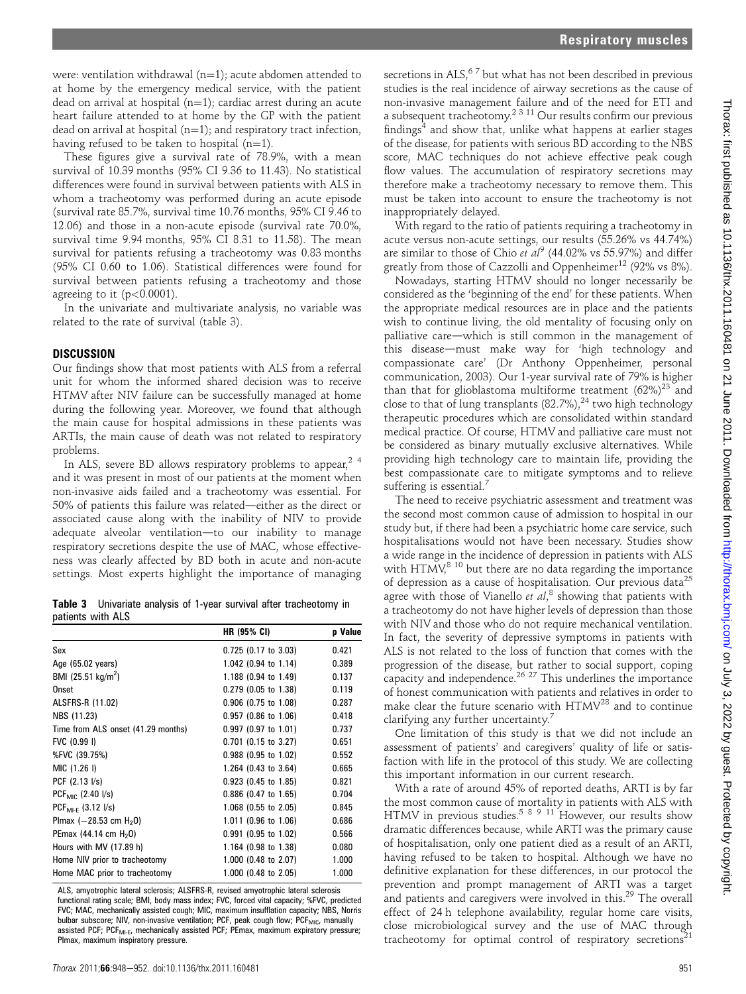were: ventilation withdrawal  $(n=1)$ ; acute abdomen attended to at home by the emergency medical service, with the patient dead on arrival at hospital  $(n=1)$ ; cardiac arrest during an acute heart failure attended to at home by the GP with the patient dead on arrival at hospital  $(n=1)$ ; and respiratory tract infection, having refused to be taken to hospital  $(n=1)$ .

These figures give a survival rate of 78.9%, with a mean survival of 10.39 months (95% CI 9.36 to 11.43). No statistical differences were found in survival between patients with ALS in whom a tracheotomy was performed during an acute episode (survival rate 85.7%, survival time 10.76 months, 95% CI 9.46 to 12.06) and those in a non-acute episode (survival rate 70.0%, survival time 9.94 months, 95% CI 8.31 to 11.58). The mean survival for patients refusing a tracheotomy was 0.83 months (95% CI 0.60 to 1.06). Statistical differences were found for survival between patients refusing a tracheotomy and those agreeing to it  $(p<0.0001)$ .

In the univariate and multivariate analysis, no variable was related to the rate of survival (table 3).

## **DISCUSSION**

Our findings show that most patients with ALS from a referral unit for whom the informed shared decision was to receive HTMV after NIV failure can be successfully managed at home during the following year. Moreover, we found that although the main cause for hospital admissions in these patients was ARTIs, the main cause of death was not related to respiratory problems.

In ALS, severe BD allows respiratory problems to appear.<sup>24</sup> and it was present in most of our patients at the moment when non-invasive aids failed and a tracheotomy was essential. For 50% of patients this failure was related-either as the direct or associated cause along with the inability of NIV to provide adequate alveolar ventilation—to our inability to manage respiratory secretions despite the use of MAC, whose effectiveness was clearly affected by BD both in acute and non-acute settings. Most experts highlight the importance of managing

|                   |  |  |  | <b>Table 3</b> Univariate analysis of 1-year survival after tracheotomy in |  |
|-------------------|--|--|--|----------------------------------------------------------------------------|--|
| patients with ALS |  |  |  |                                                                            |  |

| <b>HR (95% CI)</b>     | <b>p</b> Value |
|------------------------|----------------|
| $0.725$ (0.17 to 3.03) | 0.421          |
| 1.042 (0.94 to 1.14)   | 0.389          |
| 1.188 (0.94 to 1.49)   | 0.137          |
| $0.279$ (0.05 to 1.38) | 0.119          |
| 0.906 (0.75 to 1.08)   | 0.287          |
| $0.957$ (0.86 to 1.06) | 0.418          |
| $0.997$ (0.97 to 1.01) | 0.737          |
| $0.701$ (0.15 to 3.27) | 0.651          |
| 0.988 (0.95 to 1.02)   | 0.552          |
| 1.264 (0.43 to 3.64)   | 0.665          |
| $0.923$ (0.45 to 1.85) | 0.821          |
| 0.886 (0.47 to 1.65)   | 0.704          |
| 1.068 (0.55 to 2.05)   | 0.845          |
| 1.011 (0.96 to 1.06)   | 0.686          |
| $0.991$ (0.95 to 1.02) | 0.566          |
| 1.164 (0.98 to 1.38)   | 0.080          |
| 1.000 (0.48 to 2.07)   | 1.000          |
| 1.000 (0.48 to 2.05)   | 1.000          |
|                        |                |

ALS, amyotrophic lateral sclerosis; ALSFRS-R, revised amyotrophic lateral sclerosis functional rating scale; BMI, body mass index; FVC, forced vital capacity; %FVC, predicted FVC; MAC, mechanically assisted cough; MIC, maximum insufflation capacity; NBS, Norris bulbar subscore; NIV, non-invasive ventilation; PCF, peak cough flow; PCF<sub>MIC</sub>, manually assisted PCF; PCF<sub>MI-E</sub>, mechanically assisted PCF; PEmax, maximum expiratory pressure; PImax, maximum inspiratory pressure.

secretions in ALS, $67$  but what has not been described in previous studies is the real incidence of airway secretions as the cause of non-invasive management failure and of the need for ETI and a subsequent tracheotomy.<sup>2 3 11</sup> Our results confirm our previous findings $4$  and show that, unlike what happens at earlier stages of the disease, for patients with serious BD according to the NBS score, MAC techniques do not achieve effective peak cough flow values. The accumulation of respiratory secretions may therefore make a tracheotomy necessary to remove them. This must be taken into account to ensure the tracheotomy is not inappropriately delayed.

With regard to the ratio of patients requiring a tracheotomy in acute versus non-acute settings, our results (55.26% vs 44.74%) are similar to those of Chio et  $al^9$  (44.02% vs 55.97%) and differ greatly from those of Cazzolli and Oppenheimer<sup>12</sup> (92% vs 8%).

Nowadays, starting HTMV should no longer necessarily be considered as the 'beginning of the end' for these patients. When the appropriate medical resources are in place and the patients wish to continue living, the old mentality of focusing only on palliative care-which is still common in the management of this disease-must make way for 'high technology and compassionate care' (Dr Anthony Oppenheimer, personal communication, 2003). Our 1-year survival rate of 79% is higher than that for glioblastoma multiforme treatment  $(62\%)^{23}$  and close to that of lung transplants  $(82.7\%)$ ,<sup>24</sup> two high technology therapeutic procedures which are consolidated within standard medical practice. Of course, HTMV and palliative care must not be considered as binary mutually exclusive alternatives. While providing high technology care to maintain life, providing the best compassionate care to mitigate symptoms and to relieve suffering is essential. $7$ 

The need to receive psychiatric assessment and treatment was the second most common cause of admission to hospital in our study but, if there had been a psychiatric home care service, such hospitalisations would not have been necessary. Studies show a wide range in the incidence of depression in patients with ALS with HTMV, $8^{8}$  10 but there are no data regarding the importance of depression as a cause of hospitalisation. Our previous data<sup>25</sup> agree with those of Vianello et  $al$ ,<sup>8</sup> showing that patients with a tracheotomy do not have higher levels of depression than those with NIV and those who do not require mechanical ventilation. In fact, the severity of depressive symptoms in patients with ALS is not related to the loss of function that comes with the progression of the disease, but rather to social support, coping capacity and independence.<sup>26, 27</sup> This underlines the importance of honest communication with patients and relatives in order to make clear the future scenario with HTMV<sup>28</sup> and to continue clarifying any further uncertainty.<sup>7</sup>

One limitation of this study is that we did not include an assessment of patients' and caregivers' quality of life or satisfaction with life in the protocol of this study. We are collecting this important information in our current research.

With a rate of around 45% of reported deaths, ARTI is by far the most common cause of mortality in patients with ALS with HTMV in previous studies.<sup>58911</sup> However, our results show dramatic differences because, while ARTI was the primary cause of hospitalisation, only one patient died as a result of an ARTI, having refused to be taken to hospital. Although we have no definitive explanation for these differences, in our protocol the prevention and prompt management of ARTI was a target and patients and caregivers were involved in this.<sup>29</sup> The overall effect of 24 h telephone availability, regular home care visits, close microbiological survey and the use of MAC through tracheotomy for optimal control of respiratory secretions<sup>21</sup>